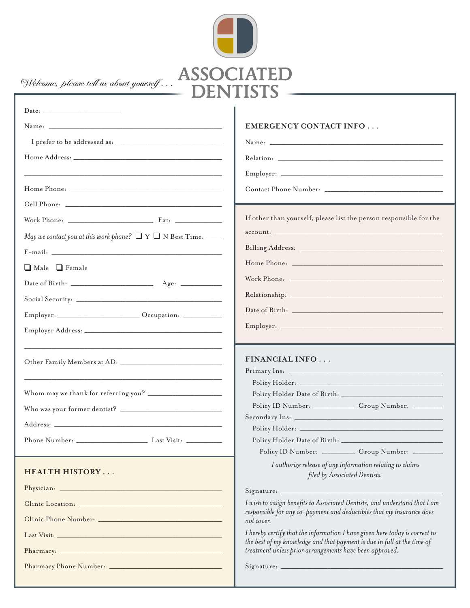

|                                                                           | <b>EMERGENCY CONTACT INFO</b>                                                                                                                                                                                                 |
|---------------------------------------------------------------------------|-------------------------------------------------------------------------------------------------------------------------------------------------------------------------------------------------------------------------------|
|                                                                           |                                                                                                                                                                                                                               |
|                                                                           | Relation: the contract of the contract of the contract of the contract of the contract of the contract of the contract of the contract of the contract of the contract of the contract of the contract of the contract of the |
|                                                                           |                                                                                                                                                                                                                               |
|                                                                           |                                                                                                                                                                                                                               |
|                                                                           |                                                                                                                                                                                                                               |
|                                                                           | If other than yourself, please list the person responsible for the                                                                                                                                                            |
| May we contact you at this work phone? $\Box Y \Box N$ Best Time: _______ |                                                                                                                                                                                                                               |
|                                                                           |                                                                                                                                                                                                                               |
| Male Female                                                               |                                                                                                                                                                                                                               |
|                                                                           |                                                                                                                                                                                                                               |
|                                                                           |                                                                                                                                                                                                                               |
| Employer: _________________________ Occupation: __________                |                                                                                                                                                                                                                               |
|                                                                           |                                                                                                                                                                                                                               |
|                                                                           |                                                                                                                                                                                                                               |
|                                                                           | <b>FINANCIAL INFO</b>                                                                                                                                                                                                         |
|                                                                           |                                                                                                                                                                                                                               |
|                                                                           |                                                                                                                                                                                                                               |
|                                                                           |                                                                                                                                                                                                                               |
|                                                                           | Policy ID Number: _____________ Group Number: _______                                                                                                                                                                         |
|                                                                           |                                                                                                                                                                                                                               |
|                                                                           |                                                                                                                                                                                                                               |
|                                                                           | Policy ID Number: ___________ Group Number: ________                                                                                                                                                                          |
|                                                                           | I authorize release of any information relating to claims                                                                                                                                                                     |
| <b>HEALTH HISTORY</b>                                                     | filed by Associated Dentists.                                                                                                                                                                                                 |
|                                                                           |                                                                                                                                                                                                                               |
|                                                                           | I wish to assign benefits to Associated Dentists, and understand that I am                                                                                                                                                    |
|                                                                           | responsible for any co-payment and deductibles that my insurance does<br>not cover.                                                                                                                                           |
|                                                                           | I hereby certify that the information I have given here today is correct to                                                                                                                                                   |
|                                                                           | the best of my knowledge and that payment is due in full at the time of<br>treatment unless prior arrangements have been approved.                                                                                            |
|                                                                           |                                                                                                                                                                                                                               |
|                                                                           |                                                                                                                                                                                                                               |
|                                                                           |                                                                                                                                                                                                                               |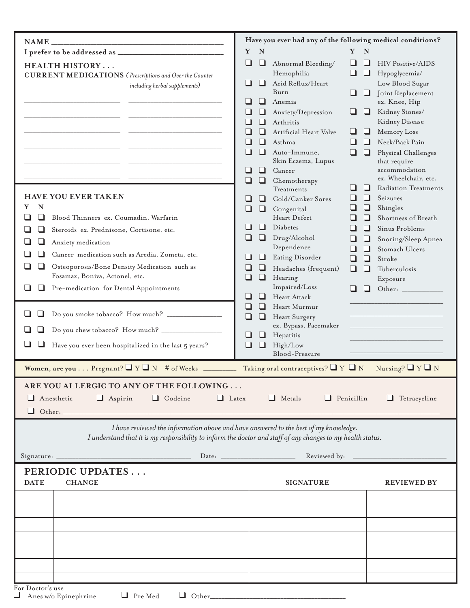|                                                                                                                                                                                                                                                                                                                                         | Have you ever had any of the following medical conditions?                                                                                                                                                                                                                                                                                                                                                                                                                                     |                                                                                                                                                                                     |
|-----------------------------------------------------------------------------------------------------------------------------------------------------------------------------------------------------------------------------------------------------------------------------------------------------------------------------------------|------------------------------------------------------------------------------------------------------------------------------------------------------------------------------------------------------------------------------------------------------------------------------------------------------------------------------------------------------------------------------------------------------------------------------------------------------------------------------------------------|-------------------------------------------------------------------------------------------------------------------------------------------------------------------------------------|
| <b>NAME</b>                                                                                                                                                                                                                                                                                                                             |                                                                                                                                                                                                                                                                                                                                                                                                                                                                                                |                                                                                                                                                                                     |
| <b>HEALTH HISTORY</b><br><b>CURRENT MEDICATIONS</b> (Prescriptions and Over the Counter<br>including herbal supplements)                                                                                                                                                                                                                | Y<br>$\mathbf N$<br>Y<br>Abnormal Bleeding/<br>ப<br>⊔<br>⊔<br>Hemophilia<br>⊔<br>Acid Reflux/Heart<br>ப<br>Burn<br>ப<br>Anemia<br>⊔<br>Anxiety/Depression<br>Arthritis<br>Artificial Heart Valve<br>⊔                                                                                                                                                                                                                                                                                          | N<br><b>HIV Positive/AIDS</b><br>⊔<br>$\Box$<br>Hypoglycemia/<br>Low Blood Sugar<br>Joint Replacement<br>⊔<br>ex. Knee, Hip<br>Kidney Stones/<br>⊔<br>Kidney Disease<br>Memory Loss |
|                                                                                                                                                                                                                                                                                                                                         | ப<br>Asthma<br>ப<br>ப<br>Auto-Immune,<br>⊔<br>Skin Eczema, Lupus<br>ப<br>Cancer<br>□<br>Chemotherapy                                                                                                                                                                                                                                                                                                                                                                                           | Neck/Back Pain<br>ப<br>$\Box$<br>Physical Challenges<br>that require<br>accommodation<br>ex. Wheelchair, etc.                                                                       |
| <b>HAVE YOU EVER TAKEN</b><br>Y<br>N<br>Blood Thinners ex. Coumadin, Warfarin<br>Steroids ex. Prednisone, Cortisone, etc.<br>⊔<br>Anxiety medication<br>Cancer medication such as Aredia, Zometa, etc.<br>⊔<br>Osteoporosis/Bone Density Medication such as<br>Fosamax, Boniva, Actonel, etc.<br>Pre-medication for Dental Appointments | <b>Radiation Treatments</b><br>⊔<br>⊔<br>Treatments<br>□<br>Seizures<br>Cold/Canker Sores<br>ப<br>Shingles<br>Congenital<br>□<br>Heart Defect<br>Shortness of Breath<br>Diabetes<br>Sinus Problems<br>ப<br>Drug/Alcohol<br>u<br>Snoring/Sleep Apnea<br>⊔<br>Dependence<br>□<br>Stomach Ulcers<br>$\vert \ \ \vert$<br>Eating Disorder<br>⊔<br>⊔<br>❏<br>ப<br>Stroke<br>Headaches (frequent)<br>□<br>Tuberculosis<br>Hearing<br>ப<br>⊔<br>Exposure<br>Impaired/Loss<br>l 1<br>ப<br>Heart Attack |                                                                                                                                                                                     |
| Do you smoke tobacco? How much? ______________<br>ப<br>Have you ever been hospitalized in the last 5 years?                                                                                                                                                                                                                             | Heart Murmur<br>ப<br>ப<br>ப<br>ப<br>Heart Surgery<br>ex. Bypass, Pacemaker<br>Hepatitis<br>⊔<br>⊔<br>High/Low<br>❏<br>Blood-Pressure                                                                                                                                                                                                                                                                                                                                                           |                                                                                                                                                                                     |
| Women, are you Pregnant? $\Box$ Y $\Box$ N # of Weeks _                                                                                                                                                                                                                                                                                 | Taking oral contraceptives? $\Box$ Y $\Box$ N                                                                                                                                                                                                                                                                                                                                                                                                                                                  | Nursing? $\Box$ Y $\Box$ N                                                                                                                                                          |
| ARE YOU ALLERGIC TO ANY OF THE FOLLOWING<br>$\Box$ Codeine<br>Anesthetic<br>$\Box$ Aspirin<br>$\Box$ Latex                                                                                                                                                                                                                              | $\Box$ Metals<br>$\Box$ Penicillin                                                                                                                                                                                                                                                                                                                                                                                                                                                             | Tetracycline                                                                                                                                                                        |
| I have reviewed the information above and have answered to the best of my knowledge.<br>I understand that it is my responsibility to inform the doctor and staff of any changes to my health status.                                                                                                                                    |                                                                                                                                                                                                                                                                                                                                                                                                                                                                                                |                                                                                                                                                                                     |
| Signature:                                                                                                                                                                                                                                                                                                                              | Reviewed by:                                                                                                                                                                                                                                                                                                                                                                                                                                                                                   |                                                                                                                                                                                     |
| PERIODIC UPDATES<br><b>DATE</b><br><b>CHANGE</b>                                                                                                                                                                                                                                                                                        | <b>SIGNATURE</b>                                                                                                                                                                                                                                                                                                                                                                                                                                                                               | <b>REVIEWED BY</b>                                                                                                                                                                  |
|                                                                                                                                                                                                                                                                                                                                         |                                                                                                                                                                                                                                                                                                                                                                                                                                                                                                |                                                                                                                                                                                     |
|                                                                                                                                                                                                                                                                                                                                         |                                                                                                                                                                                                                                                                                                                                                                                                                                                                                                |                                                                                                                                                                                     |
|                                                                                                                                                                                                                                                                                                                                         |                                                                                                                                                                                                                                                                                                                                                                                                                                                                                                |                                                                                                                                                                                     |
|                                                                                                                                                                                                                                                                                                                                         |                                                                                                                                                                                                                                                                                                                                                                                                                                                                                                |                                                                                                                                                                                     |
|                                                                                                                                                                                                                                                                                                                                         |                                                                                                                                                                                                                                                                                                                                                                                                                                                                                                |                                                                                                                                                                                     |
| For Doctor's use                                                                                                                                                                                                                                                                                                                        |                                                                                                                                                                                                                                                                                                                                                                                                                                                                                                |                                                                                                                                                                                     |
| $\Box$ Pre Med<br>Anes w/o Epinephrine                                                                                                                                                                                                                                                                                                  | $\Box$ Other                                                                                                                                                                                                                                                                                                                                                                                                                                                                                   |                                                                                                                                                                                     |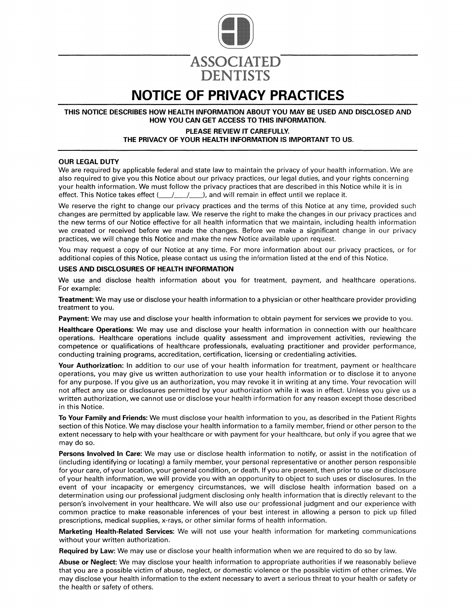

## **NOTICE OF PRIVACY PRACTICES**

**DENTISTS** 

THIS NOTICE DESCRIBES HOW HEALTH INFORMATION ABOUT YOU MAY BE USED AND DISCLOSED AND HOW YOU CAN GET ACCESS TO THIS INFORMATION.

#### PLEASE REVIEW IT CAREFULLY. THE PRIVACY OF YOUR HEALTH INFORMATION IS IMPORTANT TO US.

#### **OUR LEGAL DUTY**

We are required by applicable federal and state law to maintain the privacy of your health information. We are also required to give you this Notice about our privacy practices, our legal duties, and your rights concerning your health information. We must follow the privacy practices that are described in this Notice while it is in effect. This Notice takes effect (  $\left( \frac{1}{2} \right)$ , and will remain in effect until we replace it.  $\left| \right|$ 

We reserve the right to change our privacy practices and the terms of this Notice at any time, provided such changes are permitted by applicable law. We reserve the right to make the changes in our privacy practices and the new terms of our Notice effective for all health information that we maintain, including health information we created or received before we made the changes. Before we make a significant change in our privacy practices, we will change this Notice and make the new Notice available upon request.

You may request a copy of our Notice at any time. For more information about our privacy practices, or for additional copies of this Notice, please contact us using the information listed at the end of this Notice.

#### USES AND DISCLOSURES OF HEALTH INFORMATION

We use and disclose health information about you for treatment, payment, and healthcare operations. For example:

Treatment: We may use or disclose your health information to a physician or other healthcare provider providing treatment to you.

**Payment:** We may use and disclose your health information to obtain payment for services we provide to you.

Healthcare Operations: We may use and disclose your health information in connection with our healthcare operations. Healthcare operations include quality assessment and improvement activities, reviewing the competence or qualifications of healthcare professionals, evaluating practitioner and provider performance, conducting training programs, accreditation, certification, licensing or credentialing activities.

Your Authorization: In addition to our use of your health information for treatment, payment or healthcare operations, you may give us written authorization to use your health information or to disclose it to anyone for any purpose. If you give us an authorization, you may revoke it in writing at any time. Your revocation will not affect any use or disclosures permitted by your authorization while it was in effect. Unless you give us a written authorization, we cannot use or disclose your health information for any reason except those described in this Notice.

To Your Family and Friends: We must disclose your health information to you, as described in the Patient Rights section of this Notice. We may disclose your health information to a family member, friend or other person to the extent necessary to help with your healthcare or with payment for your healthcare, but only if you agree that we may do so.

Persons Involved In Care: We may use or disclose health information to notify, or assist in the notification of (including identifying or locating) a family member, your personal representative or another person responsible for your care, of your location, your general condition, or death. If you are present, then prior to use or disclosure of your health information, we will provide you with an opportunity to object to such uses or disclosures. In the event of your incapacity or emergency circumstances, we will disclose health information based on a determination using our professional judgment disclosing only health information that is directly relevant to the person's involvement in your healthcare. We will also use our professional judgment and our experience with common practice to make reasonable inferences of your best interest in allowing a person to pick up filled prescriptions, medical supplies, x-rays, or other similar forms of health information.

Marketing Health-Related Services: We will not use your health information for marketing communications without your written authorization.

**Required by Law:** We may use or disclose your health information when we are required to do so by law.

Abuse or Neglect: We may disclose your health information to appropriate authorities if we reasonably believe that you are a possible victim of abuse, neglect, or domestic violence or the possible victim of other crimes. We may disclose your health information to the extent necessary to avert a serious threat to your health or safety or the health or safety of others.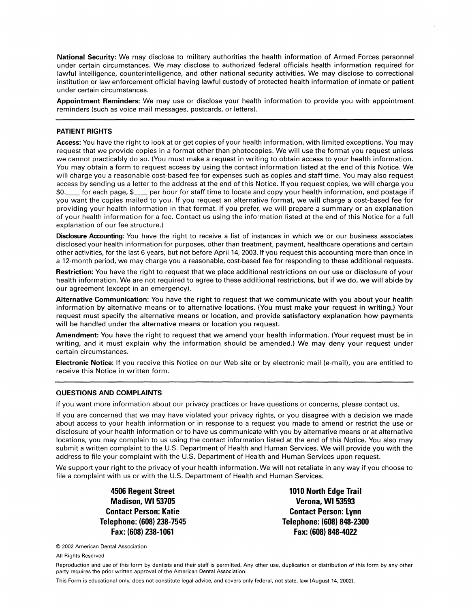National Security: We may disclose to military authorities the health information of Armed Forces personnel under certain circumstances. We may disclose to authorized federal officials health information required for lawful intelligence, counterintelligence, and other national security activities. We may disclose to correctional institution or law enforcement official having lawful custody of protected health information of inmate or patient under certain circumstances.

Appointment Reminders: We may use or disclose your health information to provide you with appointment reminders (such as voice mail messages, postcards, or letters).

#### **PATIENT RIGHTS**

Access: You have the right to look at or get copies of your health information, with limited exceptions. You may request that we provide copies in a format other than photocopies. We will use the format you request unless we cannot practicably do so. (You must make a request in writing to obtain access to your health information. You may obtain a form to request access by using the contact information listed at the end of this Notice. We will charge you a reasonable cost-based fee for expenses such as copies and staff time. You may also request access by sending us a letter to the address at the end of this Notice. If you request copies, we will charge you per hour for staff time to locate and copy your health information, and postage if \$0. for each page, \$ you want the copies mailed to you. If you request an alternative format, we will charge a cost-based fee for providing your health information in that format. If you prefer, we will prepare a summary or an explanation of your health information for a fee. Contact us using the information listed at the end of this Notice for a full explanation of our fee structure.)

Disclosure Accounting: You have the right to receive a list of instances in which we or our business associates disclosed your health information for purposes, other than treatment, payment, healthcare operations and certain other activities, for the last 6 years, but not before April 14, 2003. If you request this accounting more than once in a 12-month period, we may charge you a reasonable, cost-based fee for responding to these additional requests.

Restriction: You have the right to request that we place additional restrictions on our use or disclosure of your health information. We are not required to agree to these additional restrictions, but if we do, we will abide by our agreement (except in an emergency).

Alternative Communication: You have the right to request that we communicate with you about your health information by alternative means or to alternative locations. {You must make your request in writing.} Your request must specify the alternative means or location, and provide satisfactory explanation how payments will be handled under the alternative means or location you request.

Amendment: You have the right to request that we amend your health information. (Your request must be in writing, and it must explain why the information should be amended.) We may deny your request under certain circumstances.

Electronic Notice: If you receive this Notice on our Web site or by electronic mail (e-mail), you are entitled to receive this Notice in written form.

#### **QUESTIONS AND COMPLAINTS**

If you want more information about our privacy practices or have questions or concerns, please contact us.

If you are concerned that we may have violated your privacy rights, or you disagree with a decision we made about access to your health information or in response to a request you made to amend or restrict the use or disclosure of your health information or to have us communicate with you by alternative means or at alternative locations, you may complain to us using the contact information listed at the end of this Notice. You also may submit a written complaint to the U.S. Department of Health and Human Services. We will provide you with the address to file your complaint with the U.S. Department of Health and Human Services upon request.

We support your right to the privacy of your health information. We will not retaliate in any way if you choose to file a complaint with us or with the U.S. Department of Health and Human Services.

> 4506 Regent Street Madison, WI 53705 **Contact Person: Katie** Telephone: (608) 238-7545 Fax: (608) 238-1061

1010 North Edge Trail **Verona, WI 53593 Contact Person: Lynn** Telephone: (608) 848-2300 Fax: (608) 848-4022

© 2002 American Dental Association

All Rights Reserved

Reproduction and use of this form by dentists and their staff is permitted. Any other use, duplication or distribution of this form by any other party requires the prior written approval of the American Dental Association.

This Form is educational only, does not constitute legal advice, and covers only federal, not state, law (August 14, 2002).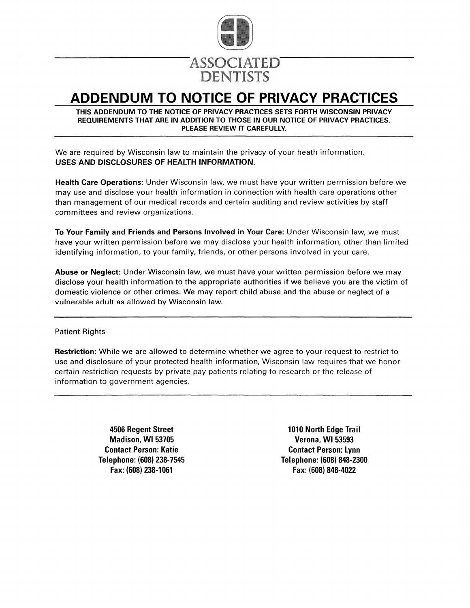

### ADDENDUM TO NOTICE OF PRIVACY PRACTICES

#### THIS ADDENDUM TO THE NOTICE OF PRIVACY PRACTICES SETS FORTH WISCONSIN PRIVACY REQUIREMENTS THAT ARE IN ADDITION TO THOSE IN OUR NOTICE OF PRIVACY PRACTICES. PLEASE REVIEW IT CAREFULLY.

We are required by Wisconsin law to maintain the privacy of your heath information. USES AND DISCLOSURES OF HEALTH INFORMATION.

Health Care Operations: Under Wisconsin law, we must have your written permission before we may use and disclose your health information in connection with health care operations other than management of our medical records and certain auditing and review activities by staff committees and review organizations.

To Your Family and Friends and Persons Involved in Your Care: Under Wisconsin law, we must have your written permission before we may disclose your health information, other than limited identifying information, to your family, friends, or other persons involved in your care.

Abuse or Neglect: Under Wisconsin law, we must have your written permission before we may disclose your health information to the appropriate authorities if we believe you are the victim of domestic violence or other crimes. We may report child abuse and the abuse or neglect of a vulnerable adult as allowed by Wisconsin law.

### **Patient Rights**

**Restriction:** While we are allowed to determine whether we agree to your request to restrict to use and disclosure of your protected health information, Wisconsin law requires that we honor certain restriction requests by private pay patients relating to research or the release of information to government agencies.

> 4506 Regent Street Madison, WI 53705 **Contact Person: Katie** Telephone: (608) 238-7545 Fax: (608) 238-1061

1010 North Edge Trail **Verona, WI 53593 Contact Person: Lynn** Telephone: (608) 848-2300 Fax: (608) 848-4022